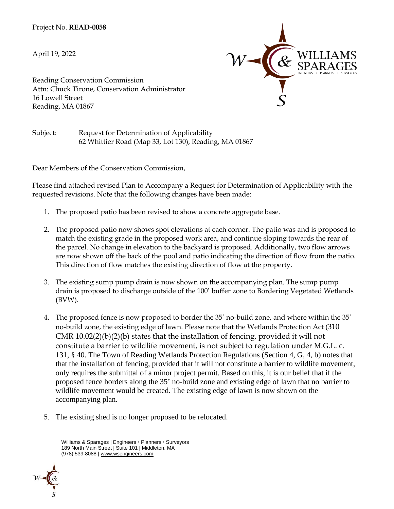Project No. **READ-0058**

April 19, 2022



Reading Conservation Commission Attn: Chuck Tirone, Conservation Administrator 16 Lowell Street Reading, MA 01867

Subject: Request for Determination of Applicability 62 Whittier Road (Map 33, Lot 130), Reading, MA 01867

Dear Members of the Conservation Commission,

Please find attached revised Plan to Accompany a Request for Determination of Applicability with the requested revisions. Note that the following changes have been made:

- 1. The proposed patio has been revised to show a concrete aggregate base.
- 2. The proposed patio now shows spot elevations at each corner. The patio was and is proposed to match the existing grade in the proposed work area, and continue sloping towards the rear of the parcel. No change in elevation to the backyard is proposed. Additionally, two flow arrows are now shown off the back of the pool and patio indicating the direction of flow from the patio. This direction of flow matches the existing direction of flow at the property.
- 3. The existing sump pump drain is now shown on the accompanying plan. The sump pump drain is proposed to discharge outside of the 100' buffer zone to Bordering Vegetated Wetlands (BVW).
- 4. The proposed fence is now proposed to border the 35' no-build zone, and where within the 35' no-build zone, the existing edge of lawn. Please note that the Wetlands Protection Act (310 CMR 10.02(2)(b)(2)(b) states that the installation of fencing, provided it will not constitute a barrier to wildlife movement, is not subject to regulation under M.G.L. c. 131, § 40. The Town of Reading Wetlands Protection Regulations (Section 4, G, 4, b) notes that that the installation of fencing, provided that it will not constitute a barrier to wildlife movement, only requires the submittal of a minor project permit. Based on this, it is our belief that if the proposed fence borders along the 35' no-build zone and existing edge of lawn that no barrier to wildlife movement would be created. The existing edge of lawn is now shown on the accompanying plan.
- 5. The existing shed is no longer proposed to be relocated.